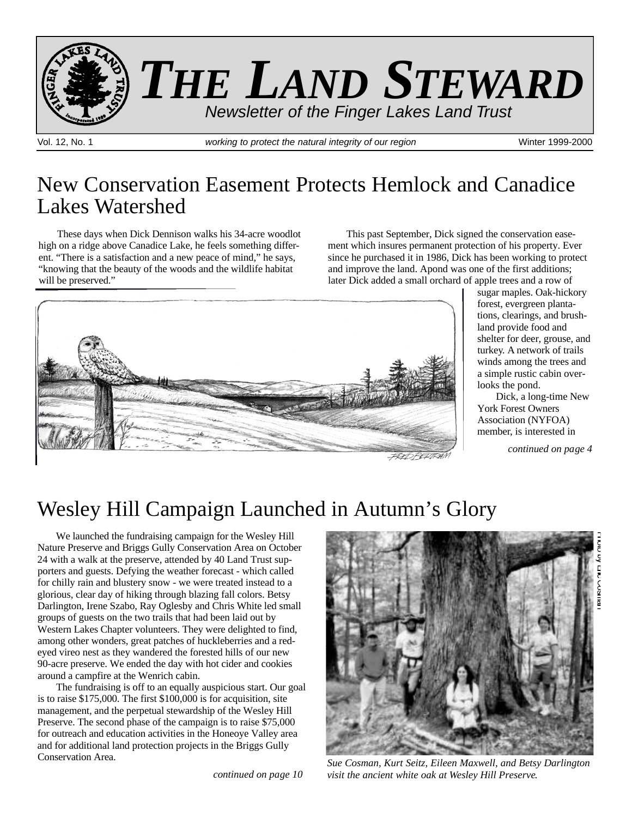

## New Conservation Easement Protects Hemlock and Canadice Lakes Watershed

These days when Dick Dennison walks his 34-acre woodlot high on a ridge above Canadice Lake, he feels something different. "There is a satisfaction and a new peace of mind," he says, "knowing that the beauty of the woods and the wildlife habitat will be preserved."

This past September, Dick signed the conservation easement which insures permanent protection of his property. Ever since he purchased it in 1986, Dick has been working to protect and improve the land. Apond was one of the first additions; later Dick added a small orchard of apple trees and a row of



sugar maples. Oak-hickory forest, evergreen plantations, clearings, and brushland provide food and shelter for deer, grouse, and turkey. A network of trails winds among the trees and a simple rustic cabin overlooks the pond.

Dick, a long-time New York Forest Owners Association (NYFOA) member, is interested in

*continued on page 4*

# Wesley Hill Campaign Launched in Autumn's Glory

We launched the fundraising campaign for the Wesley Hill Nature Preserve and Briggs Gully Conservation Area on October 24 with a walk at the preserve, attended by 40 Land Trust supporters and guests. Defying the weather forecast - which called for chilly rain and blustery snow - we were treated instead to a glorious, clear day of hiking through blazing fall colors. Betsy Darlington, Irene Szabo, Ray Oglesby and Chris White led small groups of guests on the two trails that had been laid out by Western Lakes Chapter volunteers. They were delighted to find, among other wonders, great patches of huckleberries and a redeyed vireo nest as they wandered the forested hills of our new 90-acre preserve. We ended the day with hot cider and cookies around a campfire at the Wenrich cabin.

The fundraising is off to an equally auspicious start. Our goal is to raise \$175,000. The first \$100,000 is for acquisition, site management, and the perpetual stewardship of the Wesley Hill Preserve. The second phase of the campaign is to raise \$75,000 for outreach and education activities in the Honeoye Valley area and for additional land protection projects in the Briggs Gully Conservation Area.

*continued on page 10*



*Sue Cosman, Kurt Seitz, Eileen Maxwell, and Betsy Darlington visit the ancient white oak at Wesley Hill Preserve.*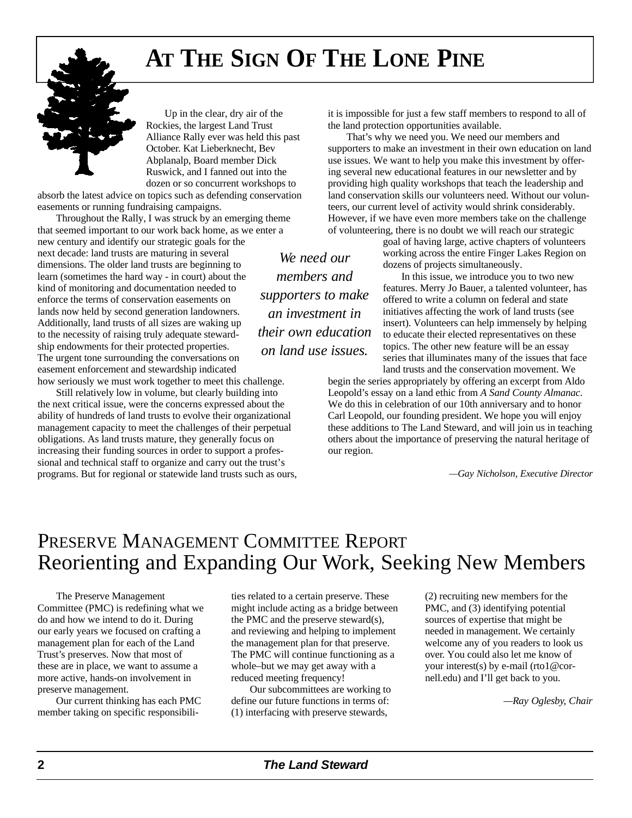# **AT THE SIGN OF THE LONE PINE**

Up in the clear, dry air of the Rockies, the largest Land Trust Alliance Rally ever was held this past October. Kat Lieberknecht, Bev Abplanalp, Board member Dick Ruswick, and I fanned out into the dozen or so concurrent workshops to

absorb the latest advice on topics such as defending conservation easements or running fundraising campaigns.

Throughout the Rally, I was struck by an emerging theme that seemed important to our work back home, as we enter a new century and identify our strategic goals for the next decade: land trusts are maturing in several dimensions. The older land trusts are beginning to learn (sometimes the hard way - in court) about the kind of monitoring and documentation needed to enforce the terms of conservation easements on lands now held by second generation landowners. Additionally, land trusts of all sizes are waking up to the necessity of raising truly adequate stewardship endowments for their protected properties. The urgent tone surrounding the conversations on easement enforcement and stewardship indicated how seriously we must work together to meet this challenge.

Still relatively low in volume, but clearly building into the next critical issue, were the concerns expressed about the ability of hundreds of land trusts to evolve their organizational management capacity to meet the challenges of their perpetual obligations. As land trusts mature, they generally focus on increasing their funding sources in order to support a professional and technical staff to organize and carry out the trust's programs. But for regional or statewide land trusts such as ours, it is impossible for just a few staff members to respond to all of the land protection opportunities available.

That's why we need you. We need our members and supporters to make an investment in their own education on land use issues. We want to help you make this investment by offering several new educational features in our newsletter and by providing high quality workshops that teach the leadership and land conservation skills our volunteers need. Without our volunteers, our current level of activity would shrink considerably. However, if we have even more members take on the challenge of volunteering, there is no doubt we will reach our strategic

> goal of having large, active chapters of volunteers working across the entire Finger Lakes Region on dozens of projects simultaneously.

> In this issue, we introduce you to two new features. Merry Jo Bauer, a talented volunteer, has offered to write a column on federal and state initiatives affecting the work of land trusts (see insert). Volunteers can help immensely by helping to educate their elected representatives on these topics. The other new feature will be an essay series that illuminates many of the issues that face land trusts and the conservation movement. We

begin the series appropriately by offering an excerpt from Aldo Leopold's essay on a land ethic from *A Sand County Almanac*. We do this in celebration of our 10th anniversary and to honor Carl Leopold, our founding president. We hope you will enjoy these additions to The Land Steward, and will join us in teaching others about the importance of preserving the natural heritage of our region.

*—Gay Nicholson, Executive Director* 

## PRESERVE MANAGEMENT COMMITTEE REPORT Reorienting and Expanding Our Work, Seeking New Members

The Preserve Management Committee (PMC) is redefining what we do and how we intend to do it. During our early years we focused on crafting a management plan for each of the Land Trust's preserves. Now that most of these are in place, we want to assume a more active, hands-on involvement in preserve management.

Our current thinking has each PMC member taking on specific responsibilities related to a certain preserve. These might include acting as a bridge between the PMC and the preserve steward(s), and reviewing and helping to implement the management plan for that preserve. The PMC will continue functioning as a whole–but we may get away with a reduced meeting frequency!

Our subcommittees are working to define our future functions in terms of: (1) interfacing with preserve stewards,

(2) recruiting new members for the PMC, and (3) identifying potential sources of expertise that might be needed in management. We certainly welcome any of you readers to look us over. You could also let me know of your interest(s) by e-mail (rto1@cornell.edu) and I'll get back to you.

*—Ray Oglesby, Chair* 

members and *supporters to make an investment in their own education on land use issues.*

*We need our*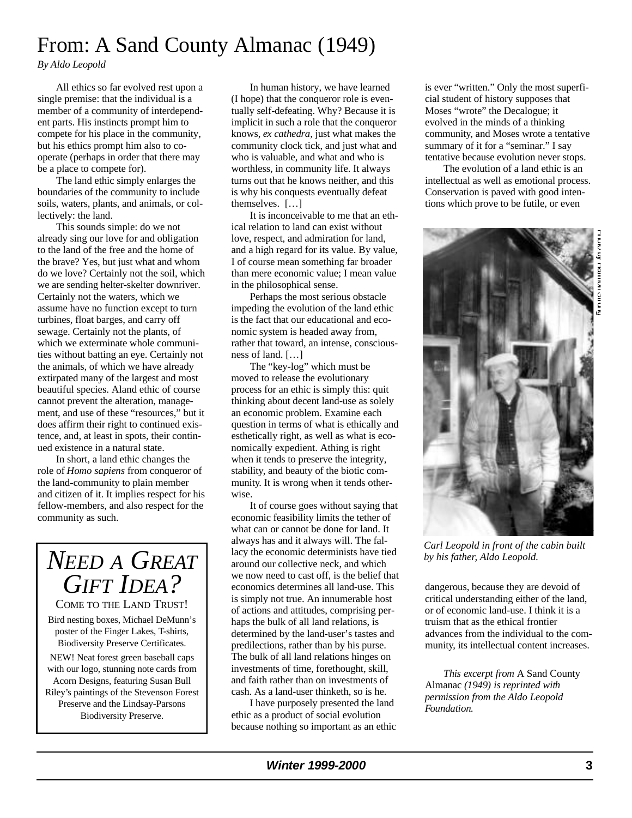## From: A Sand County Almanac (1949)

*By Aldo Leopold* 

All ethics so far evolved rest upon a single premise: that the individual is a member of a community of interdependent parts. His instincts prompt him to compete for his place in the community, but his ethics prompt him also to cooperate (perhaps in order that there may be a place to compete for).

The land ethic simply enlarges the boundaries of the community to include soils, waters, plants, and animals, or collectively: the land.

This sounds simple: do we not already sing our love for and obligation to the land of the free and the home of the brave? Yes, but just what and whom do we love? Certainly not the soil, which we are sending helter-skelter downriver. Certainly not the waters, which we assume have no function except to turn turbines, float barges, and carry off sewage. Certainly not the plants, of which we exterminate whole communities without batting an eye. Certainly not the animals, of which we have already extirpated many of the largest and most beautiful species. Aland ethic of course cannot prevent the alteration, management, and use of these "resources," but it does affirm their right to continued existence, and, at least in spots, their continued existence in a natural state.

In short, a land ethic changes the role of *Homo sapiens* from conqueror of the land-community to plain member and citizen of it. It implies respect for his fellow-members, and also respect for the community as such.



COME TO THE LAND TRUST!

Bird nesting boxes, Michael DeMunn's poster of the Finger Lakes, T-shirts, Biodiversity Preserve Certificates.

NEW! Neat forest green baseball caps with our logo, stunning note cards from Acorn Designs, featuring Susan Bull Riley's paintings of the Stevenson Forest Preserve and the Lindsay-Parsons Biodiversity Preserve.

In human history, we have learned (I hope) that the conqueror role is eventually self-defeating. Why? Because it is implicit in such a role that the conqueror knows, *ex cathedra ,* just what makes the community clock tick, and just what and who is valuable, and what and who is worthless, in community life. It always turns out that he knows neither, and this is why his conquests eventually defeat themselves. […]

It is inconceivable to me that an ethical relation to land can exist without love, respect, and admiration for land, and a high regard for its value. By value, I of course mean something far broader than mere economic value; I mean value in the philosophical sense.

Perhaps the most serious obstacle impeding the evolution of the land ethic is the fact that our educational and economic system is headed away from, rather that toward, an intense, consciousness of land. […]

The "key-log" which must be moved to release the evolutionary process for an ethic is simply this: quit thinking about decent land-use as solely an economic problem. Examine each question in terms of what is ethically and esthetically right, as well as what is economically expedient. Athing is right when it tends to preserve the integrity, stability, and beauty of the biotic community. It is wrong when it tends otherwise.

It of course goes without saying that economic feasibility limits the tether of what can or cannot be done for land. It always has and it always will. The fallacy the economic determinists have tied around our collective neck, and which we now need to cast off, is the belief that economics determines all land-use. This is simply not true. An innumerable host of actions and attitudes, comprising perhaps the bulk of all land relations, is determined by the land-user's tastes and predilections, rather than by his purse. The bulk of all land relations hinges on investments of time, forethought, skill, and faith rather than on investments of cash. As a land-user thinketh, so is he.

I have purposely presented the land ethic as a product of social evolution because nothing so important as an ethic is ever "written." Only the most superficial student of history supposes that Moses "wrote" the Decalogue; it evolved in the minds of a thinking community, and Moses wrote a tentative summary of it for a "seminar." I say tentative because evolution never stops.

The evolution of a land ethic is an intellectual as well as emotional process. Conservation is paved with good intentions which prove to be futile, or even



*Carl Leopold in front of the cabin built by his father, Aldo Leopold.*

dangerous, because they are devoid of critical understanding either of the land, or of economic land-use. I think it is a truism that as the ethical frontier advances from the individual to the community, its intellectual content increases.

*This excerpt from* A Sand County Almanac (1949) is reprinted with *permission from the Aldo Leopold Foundation.*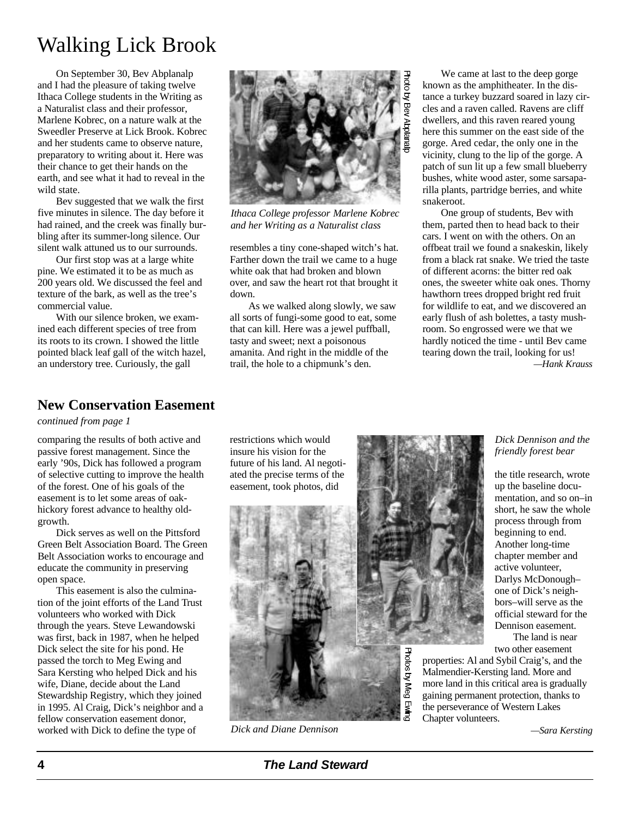## Walking Lick Brook

On September 30, Bev Abplanalp and I had the pleasure of taking twelve Ithaca College students in the Writing as a Naturalist class and their professor, Marlene Kobrec, on a nature walk at the Sweedler Preserve at Lick Brook. Kobrec and her students came to observe nature, preparatory to writing about it. Here was their chance to get their hands on the earth, and see what it had to reveal in the wild state.

Bev suggested that we walk the first five minutes in silence. The day before it had rained, and the creek was finally burbling after its summer-long silence. Our silent walk attuned us to our surrounds.

Our first stop was at a large white pine. We estimated it to be as much as 200 years old. We discussed the feel and texture of the bark, as well as the tree's commercial value.

With our silence broken, we examined each different species of tree from its roots to its crown. I showed the little pointed black leaf gall of the witch hazel, an understory tree. Curiously, the gall



**Ithaca College professor Marlene Kobrec** *and her Writing as a Naturalist class*

resembles a tiny cone-shaped witch's hat. Farther down the trail we came to a huge white oak that had broken and blown over, and saw the heart rot that brought it down.

As we walked along slowly, we saw all sorts of fungi-some good to eat, some that can kill. Here was a jewel puffball, tasty and sweet; next a poisonous amanita. And right in the middle of the trail, the hole to a chipmunk's den.

We came at last to the deep gorge known as the amphitheater. In the distance a turkey buzzard soared in lazy circles and a raven called. Ravens are cliff dwellers, and this raven reared young here this summer on the east side of the gorge. Ared cedar, the only one in the vicinity, clung to the lip of the gorge.  $A$ patch of sun lit up a few small blueberry bushes, white wood aster, some sarsaparilla plants, partridge berries, and white snakeroot.

One group of students, Bev with them, parted then to head back to their cars. I went on with the others. On an offbeat trail we found a snakeskin, likely from a black rat snake. We tried the taste of different acorns: the bitter red oak ones, the sweeter white oak ones. Thorny hawthorn trees dropped bright red fruit for wildlife to eat, and we discovered an early flush of ash bolettes, a tasty mushroom. So engrossed were we that we hardly noticed the time - until Bev came tearing down the trail, looking for us! *—Hank Krauss* 

### **New Conservation Easement**

### *continued from page 1*

comparing the results of both active and passive forest management. Since the early '90s, Dick has followed a program of selective cutting to improve the health of the forest. One of his goals of the easement is to let some areas of oakhickory forest advance to healthy oldgrowth.

Dick serves as well on the Pittsford Green Belt Association Board. The Green Belt Association works to encourage and educate the community in preserving open space.

This easement is also the culmination of the joint efforts of the Land Trust volunteers who worked with Dick through the years. Steve Lewandowski was first, back in 1987, when he helped Dick select the site for his pond. He passed the torch to Meg Ewing and Sara Kersting who helped Dick and his wife, Diane, decide about the Land Stewardship Registry, which they joined in 1995. Al Craig, Dick's neighbor and a fellow conservation easement donor, worked with Dick to define the type of

restrictions which would insure his vision for the future of his land. Al negotiated the precise terms of the easement, took photos, did



*Dick and Diane Dennison*



the title research, wrote up the baseline documentation, and so on–in short, he saw the whole process through from beginning to end. Another long-time chapter member and active volunteer, Darlys McDonough– one of Dick's neighbors–will serve as the official steward for the Dennison easement.

The land is near two other easement

properties: Al and Sybil Craig's, and the Malmendier-Kersting land. More and more land in this critical area is gradually gaining permanent protection, thanks to the perseverance of Western Lakes Chapter volunteers.

 $-S$ *ara Kersting*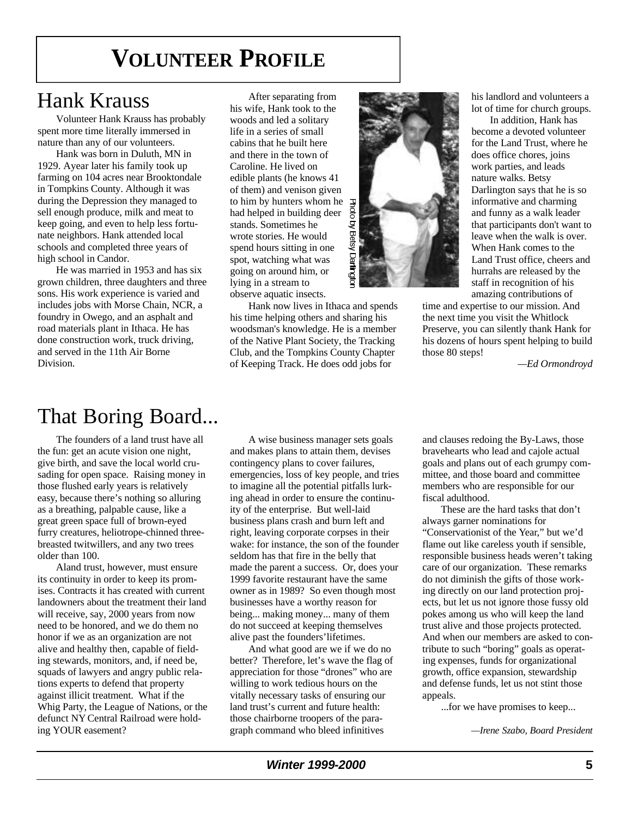# **VOLUNTEER PROFILE**

## Hank Krauss

Volunteer Hank Krauss has probably spent more time literally immersed in nature than any of our volunteers.

Hank was born in Duluth, MN in 1929. Ayear later his family took up farming on 104 acres near Brooktondale in Tompkins County. Although it was during the Depression they managed to sell enough produce, milk and meat to keep going, and even to help less fortunate neighbors. Hank attended local schools and completed three years of high school in Candor.

He was married in 1953 and has six grown children, three daughters and three sons. His work experience is varied and includes jobs with Morse Chain, NCR, a foundry in Owego, and an asphalt and road materials plant in Ithaca. He has done construction work, truck driving, and served in the 11th Air Borne Division.

After separating from his wife, Hank took to the woods and led a solitary life in a series of small cabins that he built here and there in the town of Caroline. He lived on edible plants (he knows 41 of them) and venison given to him by hunters whom he had helped in building deer stands. Sometimes he wrote stories. He would spend hours sitting in one spot, watching what was going on around him, or lying in a stream to observe aquatic insects.

Hank now lives in Ithaca and spends his time helping others and sharing his woodsman's knowledge. He is a member of the Native Plant Society, the Tracking Club, and the Tompkins County Chapter of Keeping Track. He does odd jobs for

his landlord and volunteers a lot of time for church groups.

In addition, Hank has become a devoted volunteer for the Land Trust, where he does office chores, joins work parties, and leads nature walks. Betsy Darlington says that he is so informative and charming and funny as a walk leader that participants don't want to leave when the walk is over. When Hank comes to the Land Trust office, cheers and hurrahs are released by the staff in recognition of his amazing contributions of

time and expertise to our mission. And the next time you visit the Whitlock Preserve, you can silently thank Hank for his dozens of hours spent helping to build those 80 steps!

*—Ed Ormondroyd* 

## That Boring Board...

The founders of a land trust have all the fun: get an acute vision one night, give birth, and save the local world crusading for open space. Raising money in those flushed early years is relatively easy, because there's nothing so alluring as a breathing, palpable cause, like a great green space full of brown-eyed furry creatures, heliotrope-chinned threebreasted twitwillers, and any two trees older than 100.

Aland trust, however, must ensure its continuity in order to keep its promises. Contracts it has created with current landowners about the treatment their land will receive, say, 2000 years from now need to be honored, and we do them no honor if we as an organization are not alive and healthy then, capable of fielding stewards, monitors, and, if need be, squads of lawyers and angry public relations experts to defend that property against illicit treatment. What if the Whig Party, the League of Nations, or the defunct NY Central Railroad were holding YOUR easement?

A wise business manager sets goals and makes plans to attain them, devises contingency plans to cover failures, emergencies, loss of key people, and tries to imagine all the potential pitfalls lurking ahead in order to ensure the continuity of the enterprise. But well-laid business plans crash and burn left and right, leaving corporate corpses in their wake: for instance, the son of the founder seldom has that fire in the belly that made the parent a success. Or, does your 1999 favorite restaurant have the same owner as in 1989? So even though most businesses have a worthy reason for being... making money... many of them do not succeed at keeping themselves alive past the founders'lifetimes.

And what good are we if we do no better? Therefore, let's wave the flag of appreciation for those "drones" who are willing to work tedious hours on the vitally necessary tasks of ensuring our land trust's current and future health: those chairborne troopers of the paragraph command who bleed infinitives

and clauses redoing the By-Laws, those bravehearts who lead and cajole actual goals and plans out of each grumpy committee, and those board and committee members who are responsible for our fiscal adulthood.

These are the hard tasks that don't always garner nominations for "Conservationist of the Year," but we'd flame out like careless youth if sensible, responsible business heads weren't taking care of our organization. These remarks do not diminish the gifts of those working directly on our land protection projects, but let us not ignore those fussy old pokes among us who will keep the land trust alive and those projects protected. And when our members are asked to contribute to such "boring" goals as operating expenses, funds for organizational growth, office expansion, stewardship and defense funds, let us not stint those appeals.

...for we have promises to keep...

*— I rene Szabo, Board President*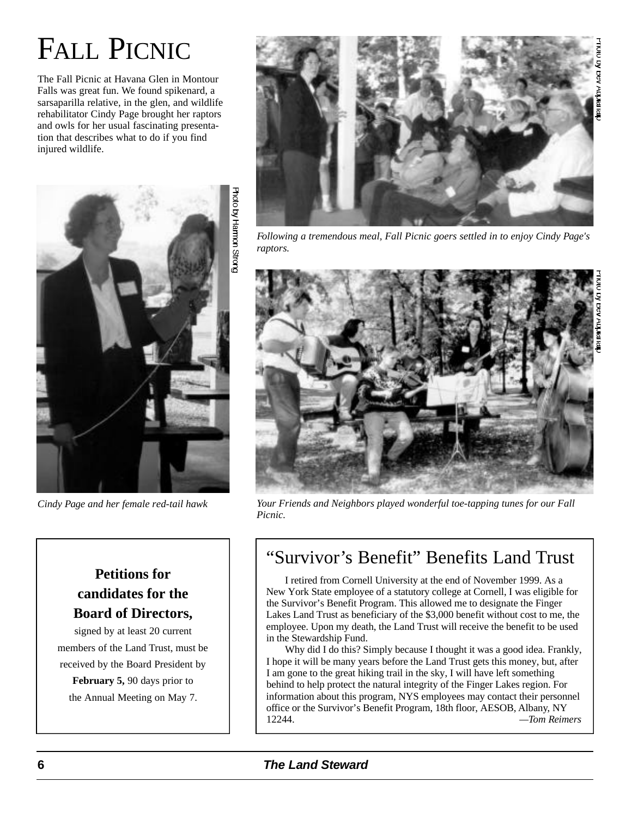# FALL PICNIC

The Fall Picnic at Havana Glen in Montour Falls was great fun. We found spikenard, a sarsaparilla relative, in the glen, and wildlife rehabilitator Cindy Page brought her raptors and owls for her usual fascinating presentation that describes what to do if you find injured wildlife.



Photo by Harmon Strong

*Cindy Page and her female red-tail hawk*



signed by at least 20 current members of the Land Trust, must be received by the Board President by **February 5,** 90 days prior to the Annual Meeting on May 7.



*Following a tremendous meal, Fall Picnic goers settled in to enjoy Cindy Page's raptors.*



*Your Friends and Neighbors played wonderful toe-tapping tunes for our Fall Picnic.*

## "Survivor's Benefit" Benefits Land Trust

I retired from Cornell University at the end of November 1999. As a New York State employee of a statutory college at Cornell, I was eligible for the Survivor's Benefit Program. This allowed me to designate the Finger Lakes Land Trust as beneficiary of the \$3,000 benefit without cost to me, the employee. Upon my death, the Land Trust will receive the benefit to be used in the Stewardship Fund.

Why did I do this? Simply because I thought it was a good idea. Frankly, I hope it will be many years before the Land Trust gets this money, but, after I am gone to the great hiking trail in the sky, I will have left something behind to help protect the natural integrity of the Finger Lakes region. For information about this program, NYS employees may contact their personnel office or the Survivor's Benefit Program, 18th floor, AESOB, Albany, NY 12244. *— Tom Reimers*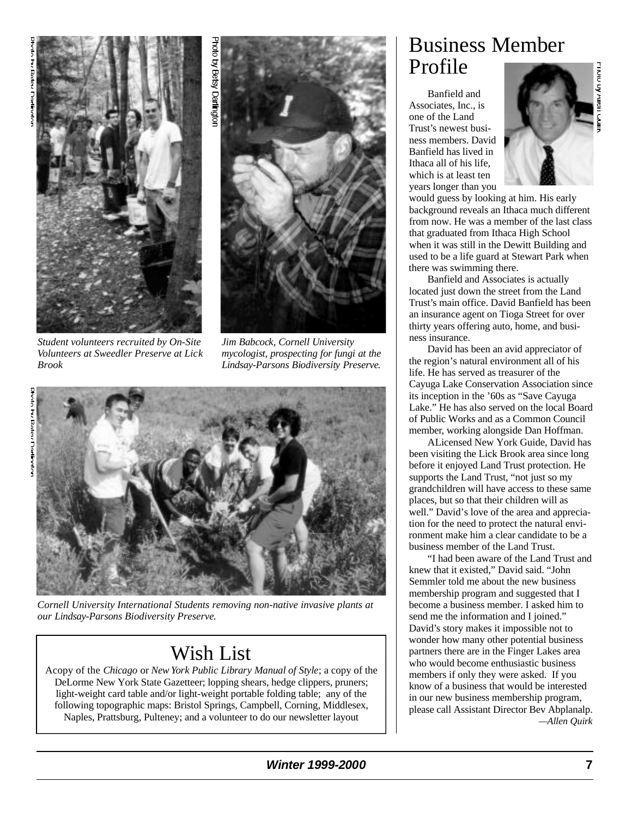

*Student volunteers recruited by On-Site Volunteers at Sweedler Preserve at Lick Brook*



*Jim Babcock, Cornell University m y c o l ogist, prospecting for fungi at the Lindsay-Parsons Biodiversity Preserve.* 



*Cornell University International Students removing non-native invasive plants at our L i n d s a y - Pa rsons Biodiversity Preserve.*

## Wish List

Acopy of the *Chicago* or *New York Public Library Manual of Style*; a copy of the DeLorme New York State Gazetteer; lopping shears, hedge clippers, pruners; light-weight card table and/or light-weight portable folding table; any of the following topographic maps: Bristol Springs, Campbell, Corning, Middlesex, Naples, Prattsburg, Pulteney; and a volunteer to do our newsletter layout

## Business Member Profile

Banfield and Associates, Inc., is one of the Land Trust's newest business members. David Banfield has lived in Ithaca all of his life, which is at least ten years longer than you



would guess by looking at him. His early background reveals an Ithaca much different from now. He was a member of the last class that graduated from Ithaca High School when it was still in the Dewitt Building and used to be a life guard at Stewart Park when there was swimming there.

Banfield and Associates is actually located just down the street from the Land Trust's main office. David Banfield has been an insurance agent on Tioga Street for over thirty years offering auto, home, and business insurance.

David has been an avid appreciator of the region's natural environment all of his life. He has served as treasurer of the Cayuga Lake Conservation Association since its inception in the '60s as "Save Cayuga Lake." He has also served on the local Board of Public Works and as a Common Council member, working alongside Dan Hoffman.

ALicensed New York Guide, David has been visiting the Lick Brook area since long before it enjoyed Land Trust protection. He supports the Land Trust, "not just so my grandchildren will have access to these same places, but so that their children will as well." David's love of the area and appreciation for the need to protect the natural environment make him a clear candidate to be a business member of the Land Trust.

"I had been aware of the Land Trust and knew that it existed," David said. "John Semmler told me about the new business membership program and suggested that I become a business member. I asked him to send me the information and I joined." David's story makes it impossible not to wonder how many other potential business partners there are in the Finger Lakes area who would become enthusiastic business members if only they were asked. If you know of a business that would be interested in our new business membership program, please call Assistant Director Bev Abplanalp. *—Allen Quirk* 

**Winter 1999-2000 7**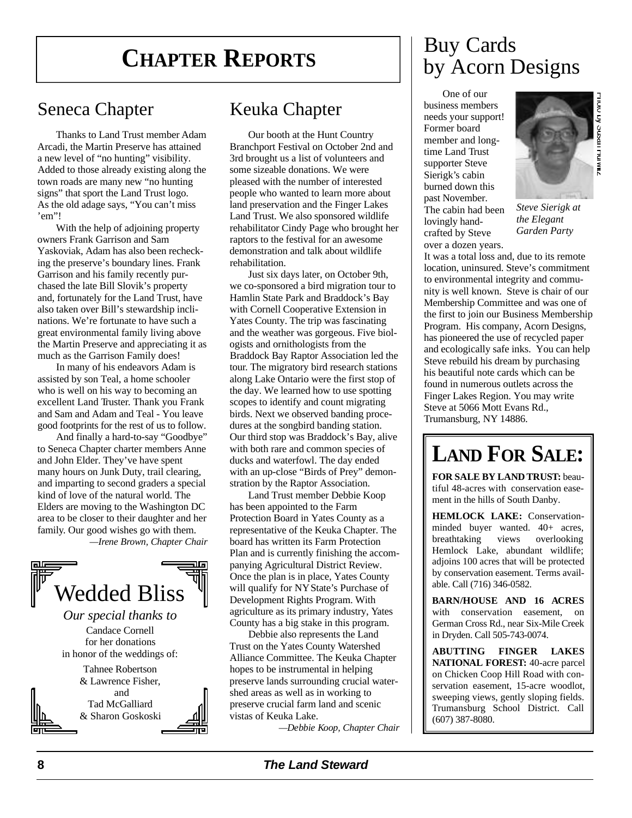# **CHAPTER REPORTS**

### Seneca Chapter

Thanks to Land Trust member Adam Arcadi, the Martin Preserve has attained a new level of "no hunting" visibility. Added to those already existing along the town roads are many new "no hunting signs" that sport the Land Trust logo. As the old adage says, "You can't miss 'em"!

With the help of adjoining property owners Frank Garrison and Sam Yaskoviak, Adam has also been rechecking the preserve's boundary lines. Frank Garrison and his family recently purchased the late Bill Slovik's property and, fortunately for the Land Trust, have also taken over Bill's stewardship inclinations. We're fortunate to have such a great environmental family living above the Martin Preserve and appreciating it as much as the Garrison Family does!

In many of his endeavors Adam is assisted by son Teal, a home schooler who is well on his way to becoming an excellent Land Truster. Thank you Frank and Sam and Adam and Teal - You leave good footprints for the rest of us to follow.

And finally a hard-to-say "Goodbye" to Seneca Chapter charter members Anne and John Elder. They've have spent many hours on Junk Duty, trail clearing, and imparting to second graders a special kind of love of the natural world. The Elders are moving to the Washington DC area to be closer to their daughter and her family. Our good wishes go with them.

*— I rene Brown, Chapter Chair* 



### Keuka Chapter

Our booth at the Hunt Country Branchport Festival on October 2nd and 3rd brought us a list of volunteers and some sizeable donations. We were pleased with the number of interested people who wanted to learn more about land preservation and the Finger Lakes Land Trust. We also sponsored wildlife rehabilitator Cindy Page who brought her raptors to the festival for an awesome demonstration and talk about wildlife rehabilitation.

Just six days later, on October 9th, we co-sponsored a bird migration tour to Hamlin State Park and Braddock's Bay with Cornell Cooperative Extension in Yates County. The trip was fascinating and the weather was gorgeous. Five biologists and ornithologists from the Braddock Bay Raptor Association led the tour. The migratory bird research stations along Lake Ontario were the first stop of the day. We learned how to use spotting scopes to identify and count migrating birds. Next we observed banding procedures at the songbird banding station. Our third stop was Braddock's Bay, alive with both rare and common species of ducks and waterfowl. The day ended with an up-close "Birds of Prey" demonstration by the Raptor Association.

Land Trust member Debbie Koop has been appointed to the Farm Protection Board in Yates County as a representative of the Keuka Chapter. The board has written its Farm Protection Plan and is currently finishing the accompanying Agricultural District Review. Once the plan is in place, Yates County will qualify for NY State's Purchase of Development Rights Program. With agriculture as its primary industry, Yates County has a big stake in this program.

Debbie also represents the Land Trust on the Yates County Watershed Alliance Committee. The Keuka Chapter hopes to be instrumental in helping preserve lands surrounding crucial watershed areas as well as in working to preserve crucial farm land and scenic vistas of Keuka Lake.

*—Debbie Koop, Chapter Chair* 

## Buy Cards by Acorn Designs

One of our business members needs your support! Former board member and longtime Land Trust supporter Steve Sierigk's cabin burned down this past November. The cabin had been lovingly handcrafted by Steve over a dozen years.



*Steve Sierigk at the Elegant Garden Party*

It was a total loss and, due to its remote location, uninsured. Steve's commitment to environmental integrity and community is well known. Steve is chair of our Membership Committee and was one of the first to join our Business Membership Program. His company, Acorn Designs, has pioneered the use of recycled paper and ecologically safe inks. You can help Steve rebuild his dream by purchasing his beautiful note cards which can be found in numerous outlets across the Finger Lakes Region. You may write Steve at 5066 Mott Evans Rd., Trumansburg, NY 14886.

# **LAND FOR SALE:**

**FOR SALE BY LAND TRUST: beau**tiful 48-acres with conservation easement in the hills of South Danby.

**HEMLOCK LAKE:** Conservationminded buyer wanted. 40+ acres, breathtaking views overlooking Hemlock Lake, abundant wildlife; adjoins 100 acres that will be protected by conservation easement. Terms available. Call (716) 346-0582.

**BARN/HOUSE AND 16 ACRES** with conservation easement, on German Cross Rd., near Six-Mile Creek in Dryden. Call 505-743-0074.

**A BUTTING FINGER LAKES NATIONAL FOREST: 40-acre parcel** on Chicken Coop Hill Road with conservation easement, 15-acre woodlot, sweeping views, gently sloping fields. Trumansburg School District. Call (607) 387-8080.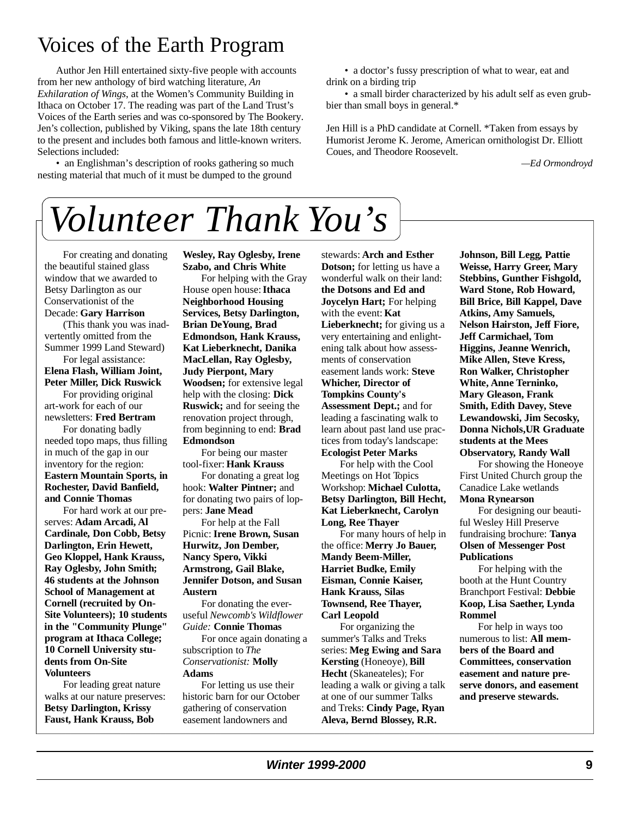## Voices of the Earth Program

Author Jen Hill entertained sixty-five people with accounts from her new anthology of bird watching literature, *An Exhilaration of Wings*, at the Women's Community Building in Ithaca on October 17. The reading was part of the Land Trust's Voices of the Earth series and was co-sponsored by The Bookery. Jen's collection, published by Viking, spans the late 18th century to the present and includes both famous and little-known writers. Selections included:

• an Englishman's description of rooks gathering so much nesting material that much of it must be dumped to the ground

• a doctor's fussy prescription of what to wear, eat and drink on a birding trip

• a small birder characterized by his adult self as even grubbier than small boys in general.\*

Jen Hill is a PhD candidate at Cornell. \*Taken from essays by Humorist Jerome K. Jerome, American ornithologist Dr. Elliott Coues, and Theodore Roosevelt.

*—Ed Ormondroyd* 

# *Volunteer Thank Yo u 's*

For creating and donating the beautiful stained glass window that we awarded to Betsy Darlington as our Conservationist of the Decade: **Gary Harrison**

(This thank you was inadvertently omitted from the Summer 1999 Land Steward)

For legal assistance: **Elena Flash, William Joint, Peter Miller, Dick Ruswick**

For providing original art-work for each of our newsletters: **F red Bertram**

For donating badly needed topo maps, thus filling in much of the gap in our inventory for the region: **Eastern Mountain Sports, in Rochester, David Banfield,** and Connie Thomas

For hard work at our preserves: Adam Arcadi, Al **Cardinale, Don Cobb, Betsy Darlington, Erin Hewett, Geo Kloppel, Hank Krauss, Ray Oglesby, John Smith; 46 students at the Johnson School of Management at Cornell (recruited by On-Site Volunteers); 10 students in the "Community Plunge" p rogram at Ithaca College; 10 Cornell University students from On-Site Volunteers** 

For leading great nature walks at our nature preserves: **Betsy Darlington, Krissy Faust, Hank Krauss, Bob**

**Wesley, Ray Oglesby, Irene Szabo, and Chris White** 

For helping with the Gray House open house: Ithaca **Neighborhood Housing Services, Betsy Darlington, Brian DeYoung, Brad Edmondson, Hank Krauss, Kat Lieberknecht, Danika MacLellan, Ray Oglesby, Judy Pierpont, Mary Woodsen**; for extensive legal help with the closing: **Dick Ruswick;** and for seeing the renovation project through, from beginning to end: **Brad Edmondson** 

For being our master tool-fixer: **Hank Krauss**

For donating a great log hook: **Walter Pintner**; and for donating two pairs of loppers: **Jane Mead**

For help at the Fall Picnic: **Irene Brown, Susan Hurwitz, Jon Dember, Nancy Spero, Vikki** Armstrong, Gail Blake, **Jennifer Dotson, and Susan Austern** 

For donating the everuseful Newcomb's Wildflower *Guide:* **Connie Thomas** 

For once again donating a subscription to *The Conservationist:* Molly A dams

For letting us use their historic barn for our October gathering of conservation easement landowners and

stewards: **Arch and Esther Dotson**; for letting us have a wonderful walk on their land: **the Dotsons and Ed and Joycelyn Hart;** For helping with the event: **Kat Lieberknecht;** for giving us a very entertaining and enlightening talk about how assessments of conservation easement lands work: **Steve Whicher, Director of Tompkins County's Assessment Dept.;** and for leading a fascinating walk to learn about past land use practices from today's landscape: **Ecologist Peter Marks** 

For help with the Cool Meetings on Hot Topics Workshop: **Michael Culotta, Betsy Darlington, Bill Hecht, Kat Lieberknecht, Carolyn Long, Ree Thayer** 

For many hours of help in the office: **Merry Jo Bauer, Mandy Beem-Miller, Harriet Budke, Emily Eisman, Connie Kaiser, Hank Krauss, Silas Townsend, Ree Thayer, Carl Leopold** 

For organizing the summer's Talks and Treks series: **Meg Ewing and Sara Kersting** (Honeoye), **Bill Hecht** (Skaneateles); For leading a walk or giving a talk at one of our summer Talks and Treks: **Cindy Page, Ryan** Aleva, Bernd Blossey, R.R.

**Johnson, Bill Legg, Pattie Weisse, Harry Greer, Mary Stebbins, Gunther Fishgold, Ward Stone, Rob Howard, Bill Brice, Bill Kappel, Dave Atkins, Amy Samuels, Nelson Hairston, Jeff Fiore , Jeff Carmichael, Tom Higgins, Jeanne Wenrich, Mike Allen, Steve Kress, Ron Walker, Christopher White, Anne Terninko, Mary Gleason, Frank Smith, Edith Davey, Steve** Lewandowski, Jim Secosky, **Donna Nichols,UR Graduate students at the Mees Observatory, Randy Wall** 

For showing the Honeoye First United Church group the Canadice Lake wetlands **Mona Rynearson**

For designing our beautiful Wesley Hill Preserve fundraising brochure: **Tanya Olsen of Messenger Post Publications** 

For helping with the booth at the Hunt Country **Branchport Festival: Debbie Koop, Lisa Saether, Lynda Rommel** 

For help in ways too numerous to list: **All members of the Board and Committees, conservation easement and nature pre**serve donors, and easement and preserve stewards.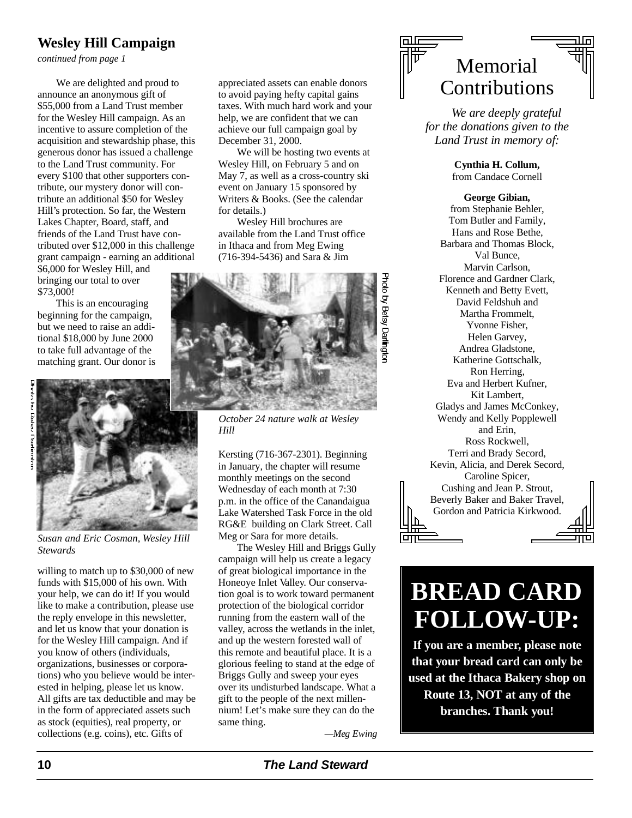### **Wesley Hill Campaign**

*continued from page 1*

We are delighted and proud to announce an anonymous gift of \$55,000 from a Land Trust member for the Wesley Hill campaign. As an incentive to assure completion of the acquisition and stewardship phase, this generous donor has issued a challenge to the Land Trust community. For every \$100 that other supporters contribute, our mystery donor will contribute an additional \$50 for Wesley Hill's protection. So far, the Western Lakes Chapter, Board, staff, and friends of the Land Trust have contributed over \$12,000 in this challenge grant campaign - earning an additional \$6,000 for Wesley Hill, and bringing our total to over

\$73,000!

This is an encouraging beginning for the campaign, but we need to raise an additional \$18,000 by June 2000 to take full advantage of the matching grant. Our donor is



*Susan and Eric Cosman, Wesley Hill Stewards*

willing to match up to \$30,000 of new funds with \$15,000 of his own. With your help, we can do it! If you would like to make a contribution, please use the reply envelope in this newsletter, and let us know that your donation is for the Wesley Hill campaign. And if you know of others (individuals, organizations, businesses or corporations) who you believe would be interested in helping, please let us know. All gifts are tax deductible and may be in the form of appreciated assets such as stock (equities), real property, or collections (e.g. coins), etc. Gifts of

appreciated assets can enable donors to avoid paying hefty capital gains taxes. With much hard work and your help, we are confident that we can achieve our full campaign goal by December 31, 2000.

We will be hosting two events at Wesley Hill, on February 5 and on May 7, as well as a cross-country ski event on January 15 sponsored by Writers & Books. (See the calendar for details.)

Wesley Hill brochures are available from the Land Trust office in Ithaca and from Meg Ewing (716-394-5436) and Sara & Jim



hoto by Betsy Darlingto

*October 24 nature walk at Wesley Hill*

Kersting (716-367-2301). Beginning in January, the chapter will resume monthly meetings on the second Wednesday of each month at 7:30 p.m. in the office of the Canandaigua Lake Watershed Task Force in the old RG&E building on Clark Street. Call Meg or Sara for more details.

The Wesley Hill and Briggs Gully campaign will help us create a legacy of great biological importance in the Honeoye Inlet Valley. Our conservation goal is to work toward permanent protection of the biological corridor running from the eastern wall of the valley, across the wetlands in the inlet, and up the western forested wall of this remote and beautiful place. It is a glorious feeling to stand at the edge of Briggs Gully and sweep your eyes over its undisturbed landscape. What a gift to the people of the next millennium! Let's make sure they can do the same thing.

*— M eg Ewing* 

# **Memorial** Contributions

*We are deeply grateful for the donations given to the Land Trust in memory of:*

> **Cynthia H. Collum,** from Candace Cornell

**George Gibian,** from Stephanie Behler, Tom Butler and Family, Hans and Rose Bethe, Barbara and Thomas Block, Val Bunce, Marvin Carlson, Florence and Gardner Clark, Kenneth and Betty Evett, David Feldshuh and Martha Frommelt, Yvonne Fisher, Helen Garvey, Andrea Gladstone, Katherine Gottschalk, Ron Herring, Eva and Herbert Kufner, Kit Lambert, Gladys and James McConkey, Wendy and Kelly Popplewell and Erin, Ross Rockwell, Terri and Brady Secord, Kevin, Alicia, and Derek Secord, Caroline Spicer, Cushing and Jean P. Strout, Beverly Baker and Baker Travel, Gordon and Patricia Kirkwood.

# **BREAD CARD FOLLOW-UP:**

**If you are a member, please note that your bread card can only be used at the Ithaca Bakery shop on Route 13, NOT at any of the branches. Thank you!**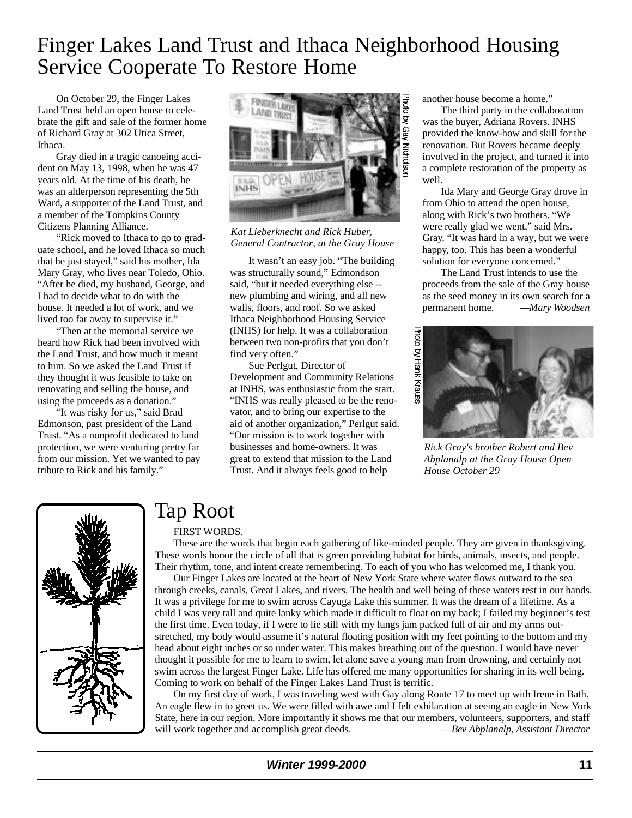## Finger Lakes Land Trust and Ithaca Neighborhood Housing Service Cooperate To Restore Home

On October 29, the Finger Lakes Land Trust held an open house to celebrate the gift and sale of the former home of Richard Gray at 302 Utica Street, Ithaca.

Gray died in a tragic canoeing accident on May 13, 1998, when he was 47 years old. At the time of his death, he was an alderperson representing the 5th Ward, a supporter of the Land Trust, and a member of the Tompkins County Citizens Planning Alliance.

"Rick moved to Ithaca to go to graduate school, and he loved Ithaca so much that he just stayed," said his mother, Ida Mary Gray, who lives near Toledo, Ohio. "After he died, my husband, George, and I had to decide what to do with the house. It needed a lot of work, and we lived too far away to supervise it."

"Then at the memorial service we heard how Rick had been involved with the Land Trust, and how much it meant to him. So we asked the Land Trust if they thought it was feasible to take on renovating and selling the house, and using the proceeds as a donation."

"It was risky for us," said Brad Edmonson, past president of the Land Trust. "As a nonprofit dedicated to land protection, we were venturing pretty far from our mission. Yet we wanted to pay tribute to Rick and his family."



*Kat Lieberknecht and Rick Huber, General Contractor, at the Gray House*

It wasn't an easy job. "The building was structurally sound," Edmondson said, "but it needed everything else - new plumbing and wiring, and all new walls, floors, and roof. So we asked Ithaca Neighborhood Housing Service (INHS) for help. It was a collaboration between two non-profits that you don't find very often."

Sue Perlgut, Director of Development and Community Relations at INHS, was enthusiastic from the start. "INHS was really pleased to be the renovator, and to bring our expertise to the aid of another organization," Perlgut said. "Our mission is to work together with businesses and home-owners. It was great to extend that mission to the Land Trust. And it always feels good to help

another house become a home."

The third party in the collaboration was the buyer, Adriana Rovers. INHS provided the know-how and skill for the renovation. But Rovers became deeply involved in the project, and turned it into a complete restoration of the property as well.

Ida Mary and George Gray drove in from Ohio to attend the open house, along with Rick's two brothers. "We were really glad we went," said Mrs. Gray. "It was hard in a way, but we were happy, too. This has been a wonderful solution for everyone concerned."

The Land Trust intends to use the proceeds from the sale of the Gray house as the seed money in its own search for a permanent home. *—Mary Woodsen* 



*Rick Gray's brother Robert and Bev Abplanalp at the Gray House Open House October 29*



## Tap Root

### FIRST WORDS.

These are the words that begin each gathering of like-minded people. They are given in thanksgiving. These words honor the circle of all that is green providing habitat for birds, animals, insects, and people. Their rhythm, tone, and intent create remembering. To each of you who has welcomed me, I thank you.

Our Finger Lakes are located at the heart of New York State where water flows outward to the sea through creeks, canals, Great Lakes, and rivers. The health and well being of these waters rest in our hands. It was a privilege for me to swim across Cayuga Lake this summer. It was the dream of a lifetime. As a child I was very tall and quite lanky which made it difficult to float on my back; I failed my beginner's test the first time. Even today, if I were to lie still with my lungs jam packed full of air and my arms outstretched, my body would assume it's natural floating position with my feet pointing to the bottom and my head about eight inches or so under water. This makes breathing out of the question. I would have never thought it possible for me to learn to swim, let alone save a young man from drowning, and certainly not swim across the largest Finger Lake. Life has offered me many opportunities for sharing in its well being. Coming to work on behalf of the Finger Lakes Land Trust is terrific.

On my first day of work, I was traveling west with Gay along Route 17 to meet up with Irene in Bath. An eagle flew in to greet us. We were filled with awe and I felt exhilaration at seeing an eagle in New York State, here in our region. More importantly it shows me that our members, volunteers, supporters, and staff will work together and accomplish great deeds. *— Bev Abplanalp, Assistant Director*